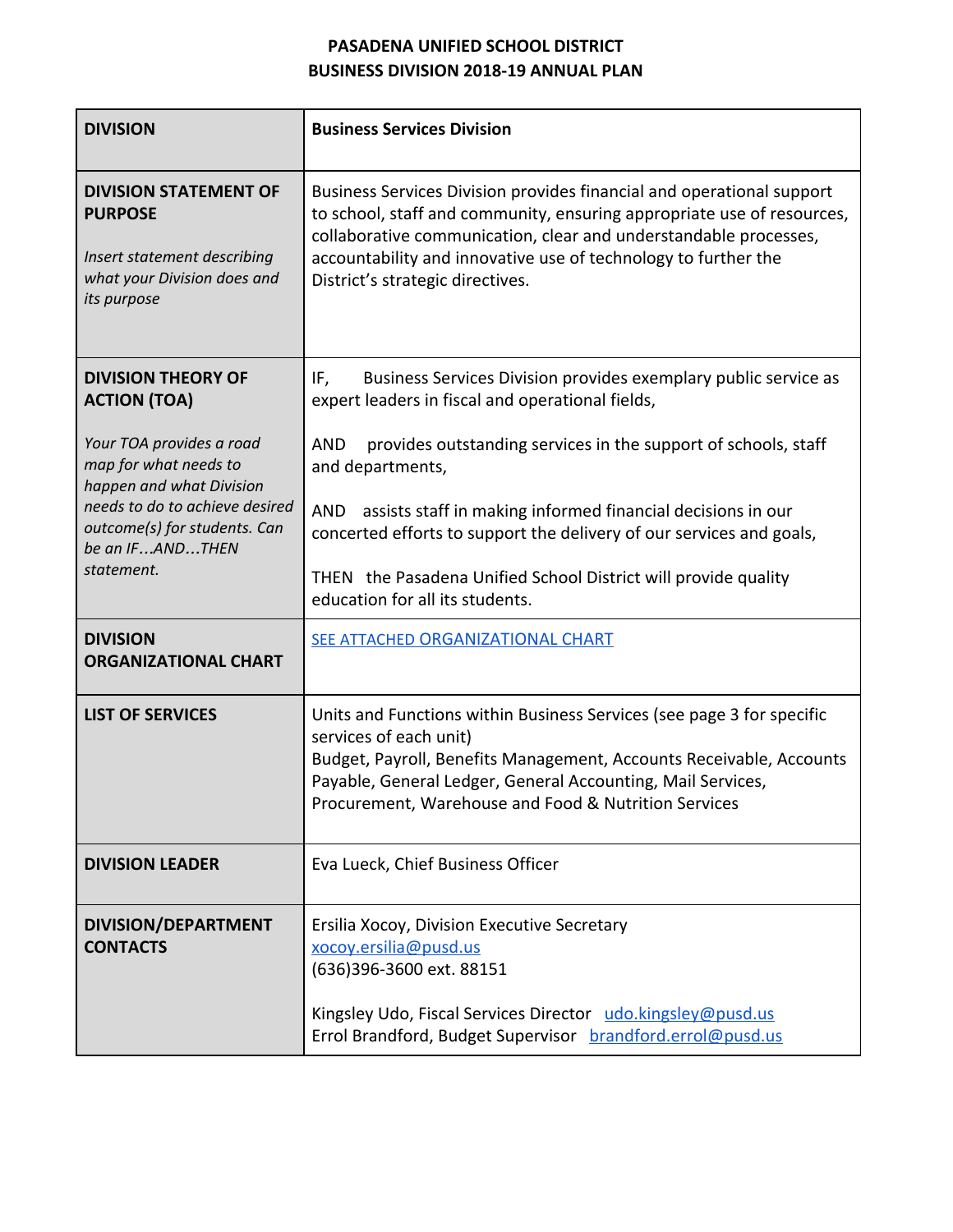## **PASADENA UNIFIED SCHOOL DISTRICT BUSINESS DIVISION 2018-19 ANNUAL PLAN**

| <b>DIVISION</b>                                                                                                             | <b>Business Services Division</b>                                                                                                                                                                                                                                                                                         |
|-----------------------------------------------------------------------------------------------------------------------------|---------------------------------------------------------------------------------------------------------------------------------------------------------------------------------------------------------------------------------------------------------------------------------------------------------------------------|
| <b>DIVISION STATEMENT OF</b><br><b>PURPOSE</b><br>Insert statement describing<br>what your Division does and<br>its purpose | Business Services Division provides financial and operational support<br>to school, staff and community, ensuring appropriate use of resources,<br>collaborative communication, clear and understandable processes,<br>accountability and innovative use of technology to further the<br>District's strategic directives. |
| <b>DIVISION THEORY OF</b><br><b>ACTION (TOA)</b>                                                                            | Business Services Division provides exemplary public service as<br>IF,<br>expert leaders in fiscal and operational fields,                                                                                                                                                                                                |
| Your TOA provides a road<br>map for what needs to<br>happen and what Division                                               | provides outstanding services in the support of schools, staff<br><b>AND</b><br>and departments,                                                                                                                                                                                                                          |
| needs to do to achieve desired<br>outcome(s) for students. Can<br>be an IFANDTHEN                                           | assists staff in making informed financial decisions in our<br>AND<br>concerted efforts to support the delivery of our services and goals,                                                                                                                                                                                |
| statement.                                                                                                                  | THEN the Pasadena Unified School District will provide quality<br>education for all its students.                                                                                                                                                                                                                         |
| <b>DIVISION</b><br><b>ORGANIZATIONAL CHART</b>                                                                              | SEE ATTACHED ORGANIZATIONAL CHART                                                                                                                                                                                                                                                                                         |
| <b>LIST OF SERVICES</b>                                                                                                     | Units and Functions within Business Services (see page 3 for specific<br>services of each unit)<br>Budget, Payroll, Benefits Management, Accounts Receivable, Accounts<br>Payable, General Ledger, General Accounting, Mail Services,<br>Procurement, Warehouse and Food & Nutrition Services                             |
| <b>DIVISION LEADER</b>                                                                                                      | Eva Lueck, Chief Business Officer                                                                                                                                                                                                                                                                                         |
| DIVISION/DEPARTMENT<br><b>CONTACTS</b>                                                                                      | Ersilia Xocoy, Division Executive Secretary<br>xocoy.ersilia@pusd.us<br>(636)396-3600 ext. 88151                                                                                                                                                                                                                          |
|                                                                                                                             | Kingsley Udo, Fiscal Services Director udo.kingsley@pusd.us<br>Errol Brandford, Budget Supervisor brandford.errol@pusd.us                                                                                                                                                                                                 |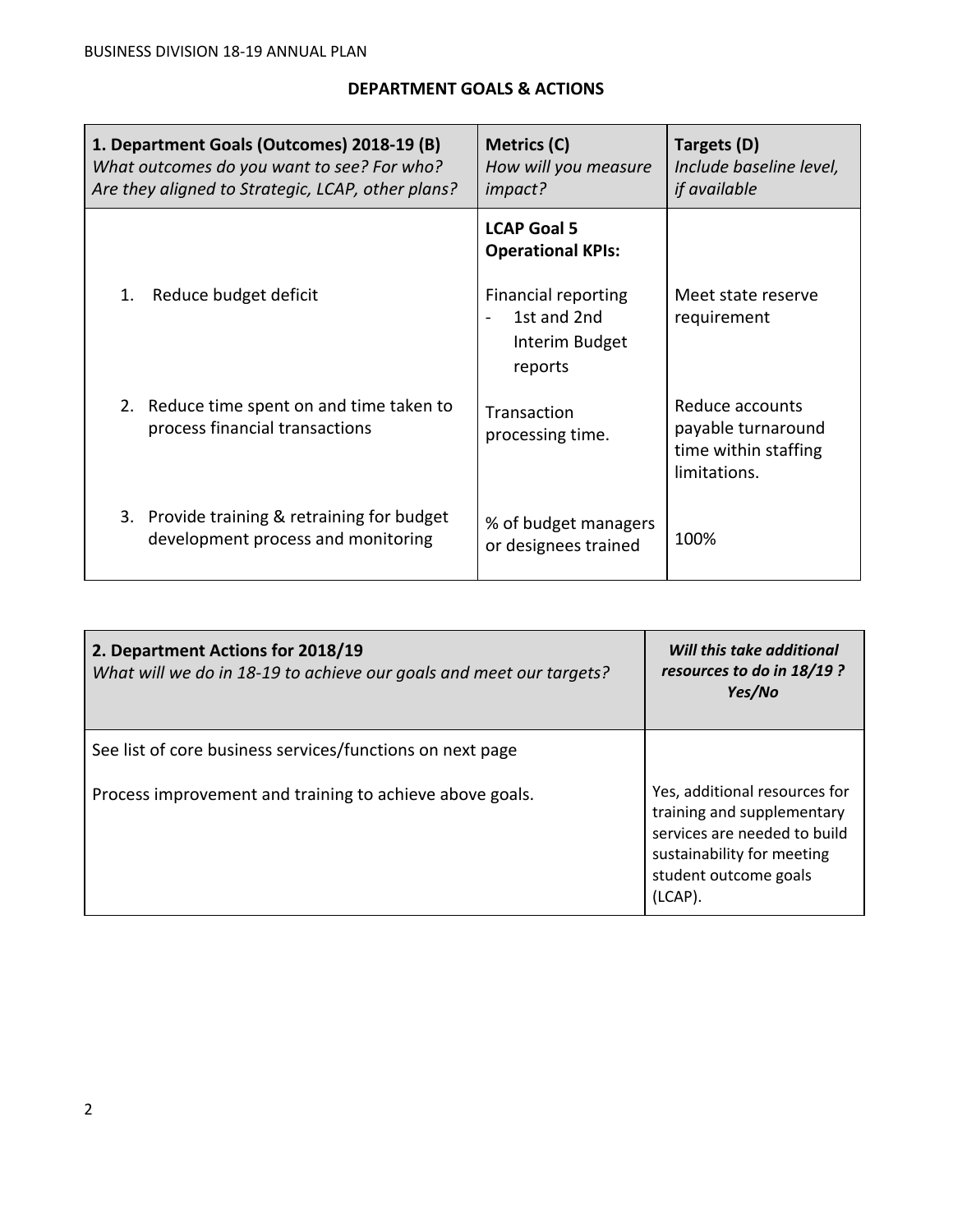## **DEPARTMENT GOALS & ACTIONS**

|    | 1. Department Goals (Outcomes) 2018-19 (B)<br>What outcomes do you want to see? For who?<br>Are they aligned to Strategic, LCAP, other plans? | Metrics (C)<br>How will you measure<br>impact?                         | Targets (D)<br>Include baseline level,<br><i>if</i> available                 |
|----|-----------------------------------------------------------------------------------------------------------------------------------------------|------------------------------------------------------------------------|-------------------------------------------------------------------------------|
|    |                                                                                                                                               | <b>LCAP Goal 5</b><br><b>Operational KPIs:</b>                         |                                                                               |
| 1. | Reduce budget deficit                                                                                                                         | <b>Financial reporting</b><br>1st and 2nd<br>Interim Budget<br>reports | Meet state reserve<br>requirement                                             |
|    | 2. Reduce time spent on and time taken to<br>process financial transactions                                                                   | Transaction<br>processing time.                                        | Reduce accounts<br>payable turnaround<br>time within staffing<br>limitations. |
|    | 3. Provide training & retraining for budget<br>development process and monitoring                                                             | % of budget managers<br>or designees trained                           | 100%                                                                          |

| 2. Department Actions for 2018/19<br>What will we do in 18-19 to achieve our goals and meet our targets? | Will this take additional<br>resources to do in 18/19 ?<br>Yes/No                                                                                             |
|----------------------------------------------------------------------------------------------------------|---------------------------------------------------------------------------------------------------------------------------------------------------------------|
| See list of core business services/functions on next page                                                |                                                                                                                                                               |
| Process improvement and training to achieve above goals.                                                 | Yes, additional resources for<br>training and supplementary<br>services are needed to build<br>sustainability for meeting<br>student outcome goals<br>(LCAP). |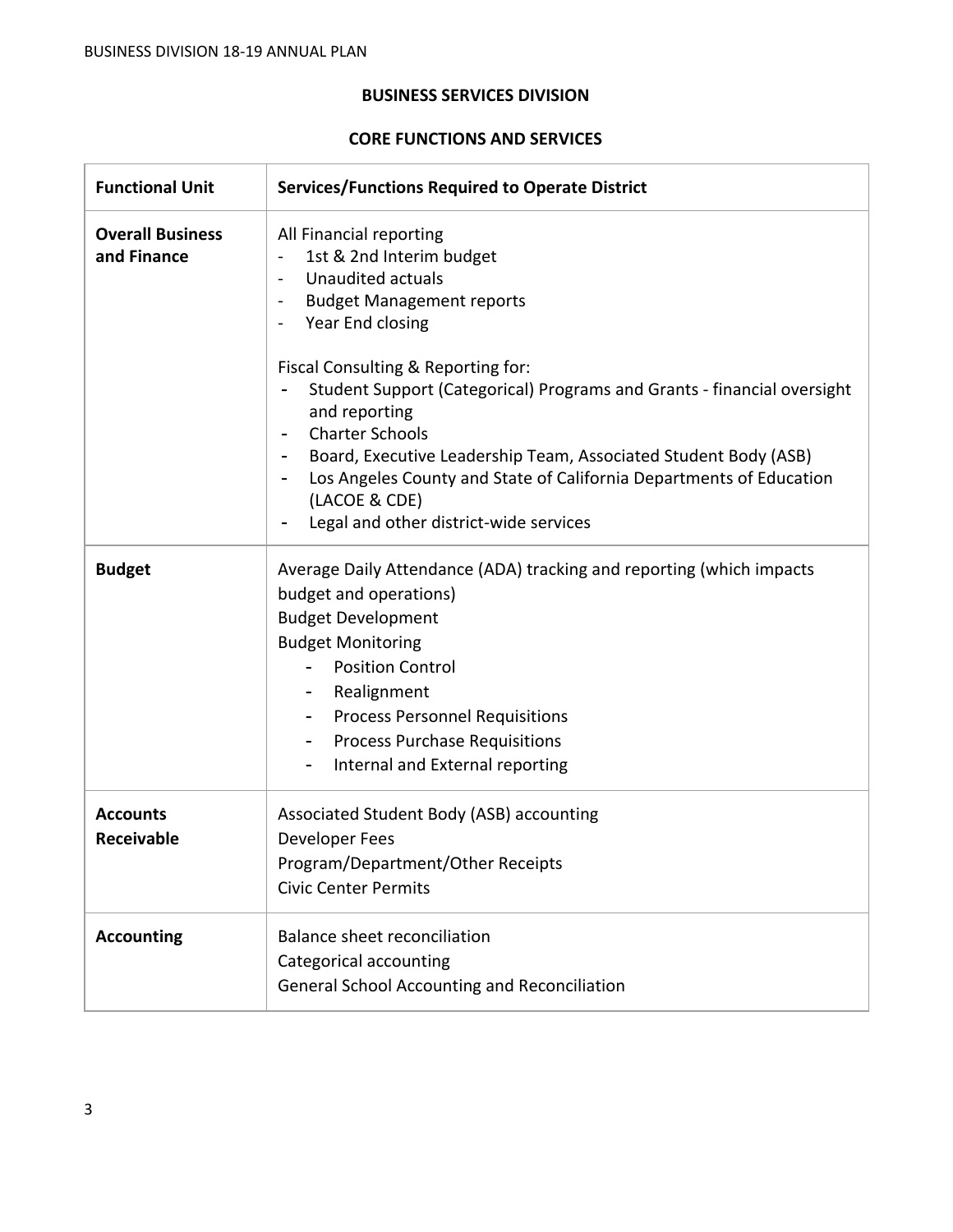## **BUSINESS SERVICES DIVISION**

## **CORE FUNCTIONS AND SERVICES**

| <b>Functional Unit</b>                 | <b>Services/Functions Required to Operate District</b>                                                                                                                                                                                                                                                                                                         |  |  |  |  |
|----------------------------------------|----------------------------------------------------------------------------------------------------------------------------------------------------------------------------------------------------------------------------------------------------------------------------------------------------------------------------------------------------------------|--|--|--|--|
| <b>Overall Business</b><br>and Finance | All Financial reporting<br>1st & 2nd Interim budget<br>Unaudited actuals<br><b>Budget Management reports</b><br>$\blacksquare$<br>Year End closing<br>Fiscal Consulting & Reporting for:                                                                                                                                                                       |  |  |  |  |
|                                        | Student Support (Categorical) Programs and Grants - financial oversight<br>and reporting<br><b>Charter Schools</b><br>Board, Executive Leadership Team, Associated Student Body (ASB)<br>Los Angeles County and State of California Departments of Education<br>$\blacksquare$<br>(LACOE & CDE)<br>Legal and other district-wide services                      |  |  |  |  |
| <b>Budget</b>                          | Average Daily Attendance (ADA) tracking and reporting (which impacts<br>budget and operations)<br><b>Budget Development</b><br><b>Budget Monitoring</b><br><b>Position Control</b><br>Realignment<br>$\blacksquare$<br><b>Process Personnel Requisitions</b><br><b>Process Purchase Requisitions</b><br>$\blacksquare$<br>Internal and External reporting<br>۰ |  |  |  |  |
| <b>Accounts</b><br><b>Receivable</b>   | Associated Student Body (ASB) accounting<br>Developer Fees<br>Program/Department/Other Receipts<br><b>Civic Center Permits</b>                                                                                                                                                                                                                                 |  |  |  |  |
| <b>Accounting</b>                      | Balance sheet reconciliation<br>Categorical accounting<br>General School Accounting and Reconciliation                                                                                                                                                                                                                                                         |  |  |  |  |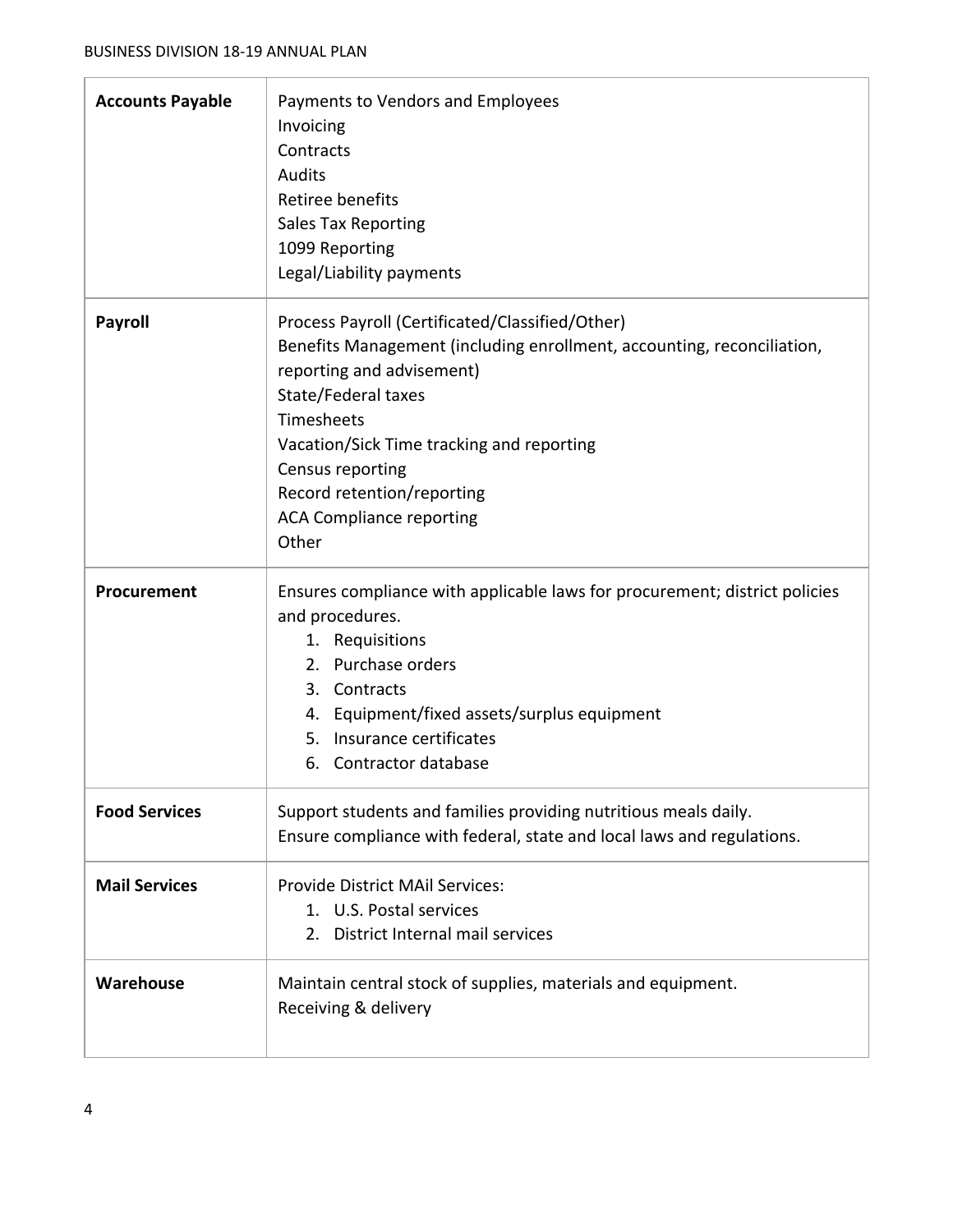| <b>Accounts Payable</b> | Payments to Vendors and Employees<br>Invoicing<br>Contracts<br><b>Audits</b><br>Retiree benefits<br><b>Sales Tax Reporting</b><br>1099 Reporting<br>Legal/Liability payments                                                                                                                                                           |
|-------------------------|----------------------------------------------------------------------------------------------------------------------------------------------------------------------------------------------------------------------------------------------------------------------------------------------------------------------------------------|
| <b>Payroll</b>          | Process Payroll (Certificated/Classified/Other)<br>Benefits Management (including enrollment, accounting, reconciliation,<br>reporting and advisement)<br>State/Federal taxes<br>Timesheets<br>Vacation/Sick Time tracking and reporting<br>Census reporting<br>Record retention/reporting<br><b>ACA Compliance reporting</b><br>Other |
| Procurement             | Ensures compliance with applicable laws for procurement; district policies<br>and procedures.<br>1. Requisitions<br>2. Purchase orders<br>3. Contracts<br>4. Equipment/fixed assets/surplus equipment<br>5. Insurance certificates<br>6. Contractor database                                                                           |
| <b>Food Services</b>    | Support students and families providing nutritious meals daily.<br>Ensure compliance with federal, state and local laws and regulations.                                                                                                                                                                                               |
| <b>Mail Services</b>    | <b>Provide District MAil Services:</b><br>1. U.S. Postal services<br>2. District Internal mail services                                                                                                                                                                                                                                |
| Warehouse               | Maintain central stock of supplies, materials and equipment.<br>Receiving & delivery                                                                                                                                                                                                                                                   |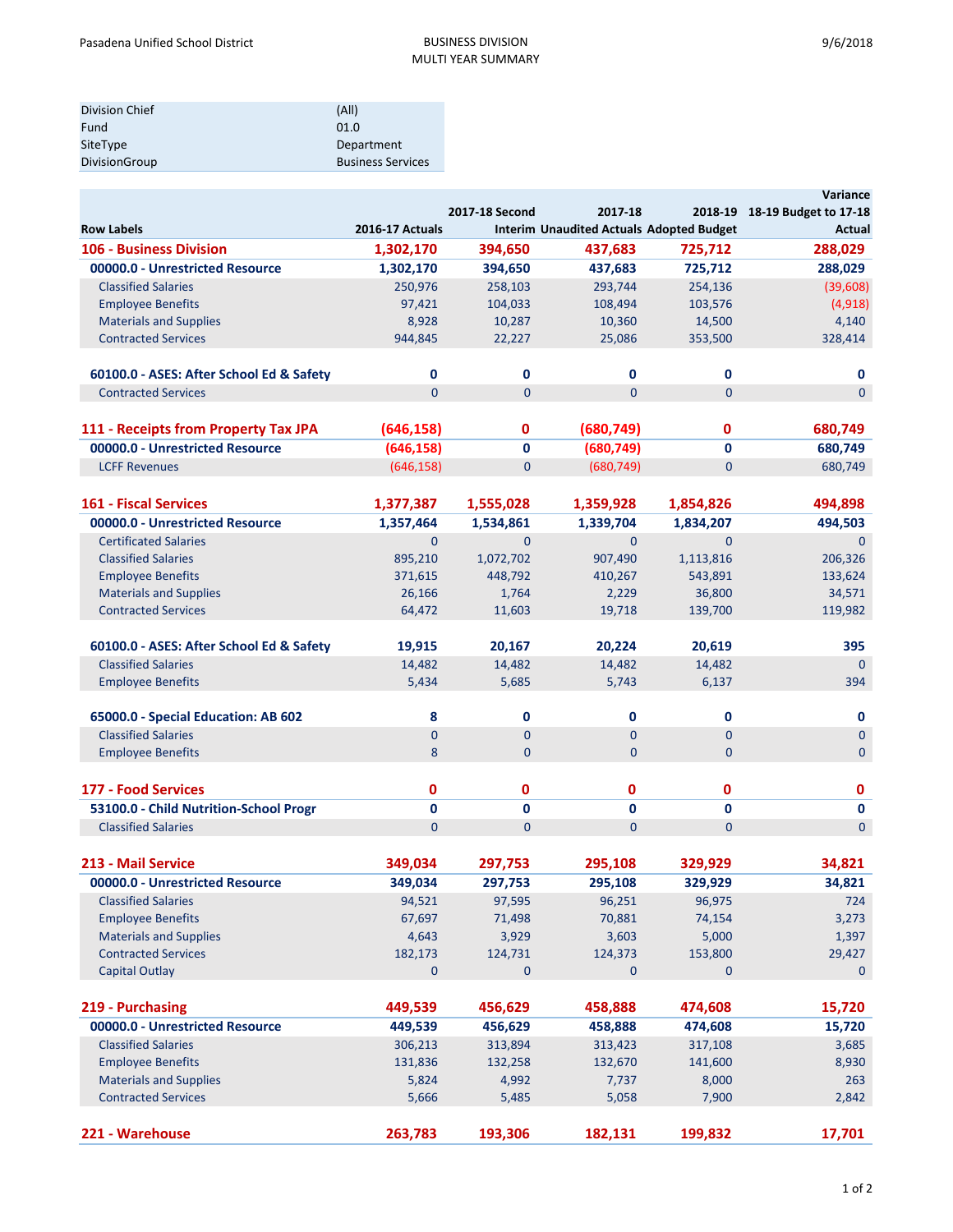| Division Chief | (A  )                    |
|----------------|--------------------------|
| Fund           | 01.0                     |
| SiteType       | Department               |
| DivisionGroup  | <b>Business Services</b> |

|                                          |                        |                |                                                 |                | Variance                      |
|------------------------------------------|------------------------|----------------|-------------------------------------------------|----------------|-------------------------------|
|                                          |                        | 2017-18 Second | 2017-18                                         |                | 2018-19 18-19 Budget to 17-18 |
| <b>Row Labels</b>                        | <b>2016-17 Actuals</b> |                | <b>Interim Unaudited Actuals Adopted Budget</b> |                | Actual                        |
| <b>106 - Business Division</b>           | 1,302,170              | 394,650        | 437,683                                         | 725,712        | 288,029                       |
| 00000.0 - Unrestricted Resource          | 1,302,170              | 394,650        | 437,683                                         | 725,712        | 288,029                       |
| <b>Classified Salaries</b>               | 250,976                | 258,103        | 293,744                                         | 254,136        | (39,608)                      |
| <b>Employee Benefits</b>                 | 97,421                 | 104,033        | 108,494                                         | 103,576        | (4, 918)                      |
| <b>Materials and Supplies</b>            | 8,928                  | 10,287         | 10,360                                          | 14,500         | 4,140                         |
| <b>Contracted Services</b>               | 944,845                | 22,227         | 25,086                                          | 353,500        | 328,414                       |
| 60100.0 - ASES: After School Ed & Safety | 0                      | 0              | 0                                               | 0              | 0                             |
| <b>Contracted Services</b>               | $\Omega$               | $\mathbf{0}$   | $\overline{0}$                                  | $\overline{0}$ | $\overline{0}$                |
| 111 - Receipts from Property Tax JPA     | (646, 158)             | 0              | (680, 749)                                      | 0              | 680,749                       |
| 00000.0 - Unrestricted Resource          | (646, 158)             |                | (680, 749)                                      | 0              |                               |
|                                          |                        | 0              |                                                 |                | 680,749                       |
| <b>LCFF Revenues</b>                     | (646, 158)             | $\mathbf{0}$   | (680, 749)                                      | $\overline{0}$ | 680,749                       |
| <b>161 - Fiscal Services</b>             | 1,377,387              | 1,555,028      | 1,359,928                                       | 1,854,826      | 494,898                       |
| 00000.0 - Unrestricted Resource          | 1,357,464              | 1,534,861      | 1,339,704                                       | 1,834,207      | 494,503                       |
| <b>Certificated Salaries</b>             | $\overline{0}$         | $\mathbf{0}$   | $\mathbf{0}$                                    | $\mathbf{0}$   | $\mathbf{0}$                  |
| <b>Classified Salaries</b>               | 895,210                | 1,072,702      | 907,490                                         | 1,113,816      | 206,326                       |
| <b>Employee Benefits</b>                 | 371,615                | 448,792        | 410,267                                         | 543,891        | 133,624                       |
| <b>Materials and Supplies</b>            | 26,166                 | 1,764          | 2,229                                           | 36,800         | 34,571                        |
| <b>Contracted Services</b>               | 64,472                 | 11,603         | 19,718                                          | 139,700        | 119,982                       |
|                                          |                        |                |                                                 |                |                               |
| 60100.0 - ASES: After School Ed & Safety | 19,915                 | 20,167         | 20,224                                          | 20,619         | 395                           |
| <b>Classified Salaries</b>               | 14,482                 | 14,482         | 14,482                                          | 14,482         | $\Omega$                      |
| <b>Employee Benefits</b>                 | 5,434                  | 5,685          | 5,743                                           | 6,137          | 394                           |
| 65000.0 - Special Education: AB 602      | 8                      | 0              | 0                                               | 0              | 0                             |
| <b>Classified Salaries</b>               | $\overline{0}$         | $\mathbf{0}$   | $\mathbf 0$                                     | $\overline{0}$ | $\mathbf{0}$                  |
| <b>Employee Benefits</b>                 | 8                      | $\mathbf{0}$   | $\mathbf{0}$                                    | $\overline{0}$ | $\mathbf{0}$                  |
| 177 - Food Services                      | 0                      | 0              | 0                                               | 0              | $\mathbf 0$                   |
| 53100.0 - Child Nutrition-School Progr   | $\mathbf{0}$           | 0              | 0                                               | 0              | $\mathbf 0$                   |
| <b>Classified Salaries</b>               | $\overline{0}$         | $\mathbf{0}$   | $\overline{0}$                                  | $\mathbf{0}$   | $\mathbf{0}$                  |
|                                          |                        |                |                                                 |                |                               |
| 213 - Mail Service                       | 349,034                | 297,753        | 295,108                                         | 329,929        | 34,821                        |
| 00000.0 - Unrestricted Resource          | 349,034                | 297,753        | 295,108                                         | 329,929        | 34,821                        |
| <b>Classified Salaries</b>               | 94,521                 | 97,595         | 96,251                                          | 96,975         | 724                           |
| <b>Employee Benefits</b>                 | 67,697                 | 71,498         | 70,881                                          | 74,154         | 3,273                         |
| <b>Materials and Supplies</b>            | 4,643                  | 3,929          | 3,603                                           | 5,000          | 1,397                         |
| <b>Contracted Services</b>               | 182,173                | 124,731        | 124,373                                         | 153,800        | 29,427                        |
| <b>Capital Outlay</b>                    | $\mathbf{0}$           | $\pmb{0}$      | 0                                               | $\mathbf 0$    | $\mathbf 0$                   |
| 219 - Purchasing                         | 449,539                | 456,629        | 458,888                                         | 474,608        | 15,720                        |
| 00000.0 - Unrestricted Resource          | 449,539                | 456,629        | 458,888                                         | 474,608        | 15,720                        |
| <b>Classified Salaries</b>               | 306,213                | 313,894        | 313,423                                         | 317,108        | 3,685                         |
| <b>Employee Benefits</b>                 | 131,836                | 132,258        | 132,670                                         | 141,600        | 8,930                         |
| <b>Materials and Supplies</b>            | 5,824                  | 4,992          | 7,737                                           | 8,000          | 263                           |
| <b>Contracted Services</b>               | 5,666                  | 5,485          | 5,058                                           | 7,900          | 2,842                         |
|                                          |                        |                |                                                 |                |                               |
| 221 - Warehouse                          | 263,783                | 193,306        | 182,131                                         | 199,832        | 17,701                        |